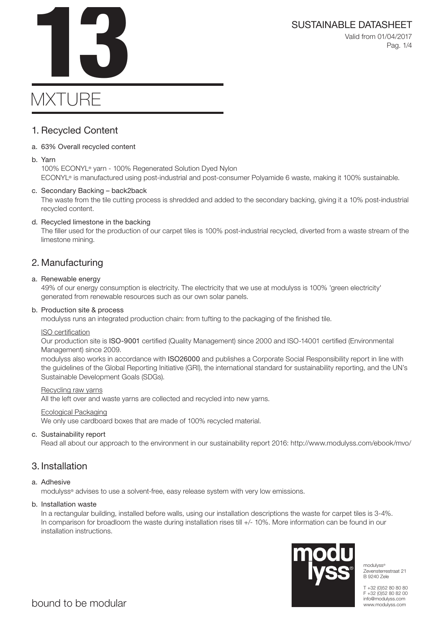SUSTAINABLE DATASHEET<br>Valid from 01/04/2017<br>Pag. 1/4 Valid from 01/04/2017 Pag. 1/4

# **MXTURE**

### 1. Recycled Content

### a. 63% Overall recycled content

#### b. Yarn

100% ECONYL® yarn - 100% Regenerated Solution Dyed Nylon ECONYL® is manufactured using post-industrial and post-consumer Polyamide 6 waste, making it 100% sustainable.

### c. Secondary Backing – back2back

The waste from the tile cutting process is shredded and added to the secondary backing, giving it a 10% post-industrial recycled content.

### d. Recycled limestone in the backing

The filler used for the production of our carpet tiles is 100% post-industrial recycled, diverted from a waste stream of the limestone mining.

### 2. Manufacturing

#### a. Renewable energy

49% of our energy consumption is electricity. The electricity that we use at modulyss is 100% 'green electricity' generated from renewable resources such as our own solar panels.

#### b. Production site & process

modulyss runs an integrated production chain: from tufting to the packaging of the finished tile.

#### ISO certification

Our production site is ISO-9001 certified (Quality Management) since 2000 and ISO-14001 certified (Environmental Management) since 2009.

modulyss also works in accordance with ISO26000 and publishes a Corporate Social Responsibility report in line with the guidelines of the Global Reporting Initiative (GRI), the international standard for sustainability reporting, and the UN's Sustainable Development Goals (SDGs).

#### Recycling raw yarns

All the left over and waste yarns are collected and recycled into new yarns.

#### Ecological Packaging

We only use cardboard boxes that are made of 100% recycled material.

### c. Sustainability report

Read all about our approach to the environment in our sustainability report 2016: http://www.modulyss.com/ebook/mvo/

### 3. Installation

### a. Adhesive

modulyss® advises to use a solvent-free, easy release system with very low emissions.

#### b. Installation waste

In a rectangular building, installed before walls, using our installation descriptions the waste for carpet tiles is 3-4%. In comparison for broadloom the waste during installation rises till +/- 10%. More information can be found in our installation instructions.



modulyss® Zevensterrestraat 21 B 9240 Zele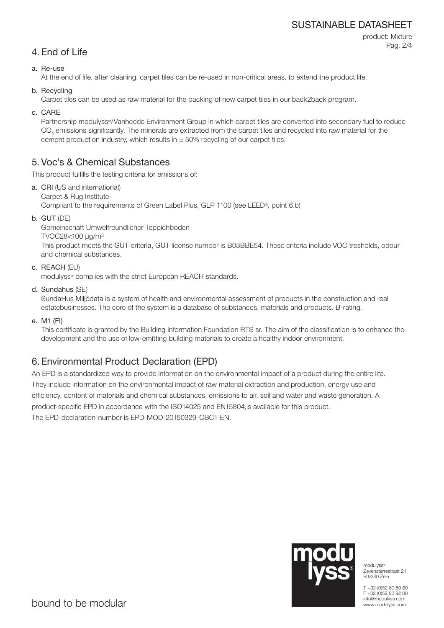### SUSTAINABLE DATASHEET

product: Mxture Pag. 2/4

### a. Re-use

At the end of life, after cleaning, carpet tiles can be re-used in non-critical areas, to extend the product life.

b. Recycling

Carpet tiles can be used as raw material for the backing of new carpet tiles in our back2back program.

c. CARE

Partnership modulyss®/Vanheede Environment Group in which carpet tiles are converted into secondary fuel to reduce  $\mathrm{CO}_2$  emissions significantly. The minerals are extracted from the carpet tiles and recycled into raw material for the cement production industry, which results in  $\pm$  50% recycling of our carpet tiles.

### 5. Voc's & Chemical Substances

This product fulfills the testing criteria for emissions of:

- a. CRI (US and international) Carpet & Rug Institute Compliant to the requirements of Green Label Plus, GLP 1100 (see LEED®, point 6.b)
- b. GUT (DE)

Gemeinschaft Umwelfreundlicher Teppichboden TVOC28<100 μg/m³ This product meets the GUT-criteria, GUT-license number is B03BBE54. These criteria include VOC tresholds, odour and chemical substances.

c. REACH (EU)

modulyss® complies with the strict European REACH standards.

d. Sundahus (SE)

SundaHus Miljödata is a system of health and environmental assessment of products in the construction and real estatebusinesses. The core of the system is a database of substances, materials and products. B-rating.

e. M1 (FI)

This certificate is granted by the Building Information Foundation RTS sr. The aim of the classification is to enhance the development and the use of low-emitting building materials to create a healthy indoor environment.

## 6. Environmental Product Declaration (EPD)

An EPD is a standardized way to provide information on the environmental impact of a product during the entire life. They include information on the environmental impact of raw material extraction and production, energy use and efficiency, content of materials and chemical substances, emissions to air, soil and water and waste generation. A product-specific EPD in accordance with the ISO14025 and EN15804,is available for this product. The EPD-declaration-number is EPD-MOD-20150329-CBC1-EN.



modulyss® Zevensterrestraat 21 B 9240 Zele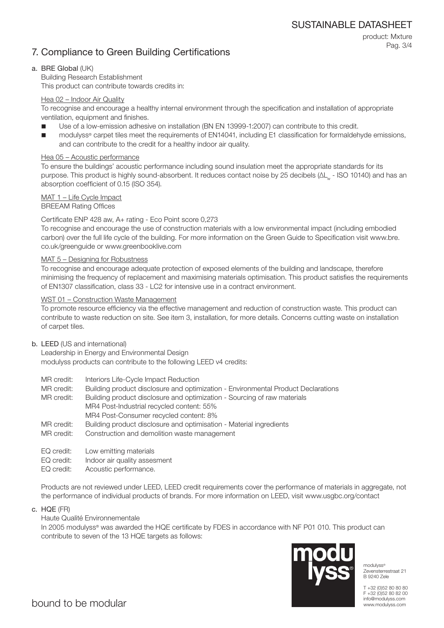### 7. Compliance to Green Building Certifications

product: Mxture Pag. 3/4

### a. BRE Global (UK)

Building Research Establishment This product can contribute towards credits in:

### Hea 02 – Indoor Air Quality

To recognise and encourage a healthy internal environment through the specification and installation of appropriate ventilation, equipment and finishes.

- Use of a low-emission adhesive on installation (BN EN 13999-1:2007) can contribute to this credit.
- modulyss® carpet tiles meet the requirements of EN14041, including E1 classification for formaldehyde emissions, and can contribute to the credit for a healthy indoor air quality.

### Hea 05 – Acoustic performance

To ensure the buildings' acoustic performance including sound insulation meet the appropriate standards for its purpose. This product is highly sound-absorbent. It reduces contact noise by 25 decibels (ΔL<sub>w</sub> - ISO 10140) and has an absorption coefficient of 0.15 (ISO 354).

### MAT 1 – Life Cycle Impact

BREEAM Rating Offices

### Certificate ENP 428 aw, A+ rating - Eco Point score 0,273

To recognise and encourage the use of construction materials with a low environmental impact (including embodied carbon) over the full life cycle of the building. For more information on the Green Guide to Specification visit www.bre. co.uk/greenguide or www.greenbooklive.com

### MAT 5 – Designing for Robustness

To recognise and encourage adequate protection of exposed elements of the building and landscape, therefore minimising the frequency of replacement and maximising materials optimisation. This product satisfies the requirements of EN1307 classification, class 33 - LC2 for intensive use in a contract environment.

### WST 01 – Construction Waste Management

To promote resource efficiency via the effective management and reduction of construction waste. This product can contribute to waste reduction on site. See item 3, installation, for more details. Concerns cutting waste on installation of carpet tiles.

### b. LEED (US and international)

Leadership in Energy and Environmental Design modulyss products can contribute to the following LEED v4 credits:

- MR credit: Interiors Life-Cycle Impact Reduction
- MR credit: Building product disclosure and optimization Environmental Product Declarations
- MR credit: Building product disclosure and optimization Sourcing of raw materials MR4 Post-Industrial recycled content: 55% MR4 Post-Consumer recycled content: 8%
- MR credit: Building product disclosure and optimisation Material ingredients
- MR credit: Construction and demolition waste management
- EQ credit: Low emitting materials
- EQ credit: Indoor air quality assesment
- EQ credit: Acoustic performance.

Products are not reviewed under LEED, LEED credit requirements cover the performance of materials in aggregate, not the performance of individual products of brands. For more information on LEED, visit www.usgbc.org/contact

c. HQE (FR)

Haute Qualité Environnementale

In 2005 modulyss® was awarded the HQE certificate by FDES in accordance with NF P01 010. This product can contribute to seven of the 13 HQE targets as follows:



modulyss® Zevensterrestraat 21 B 9240 Zele